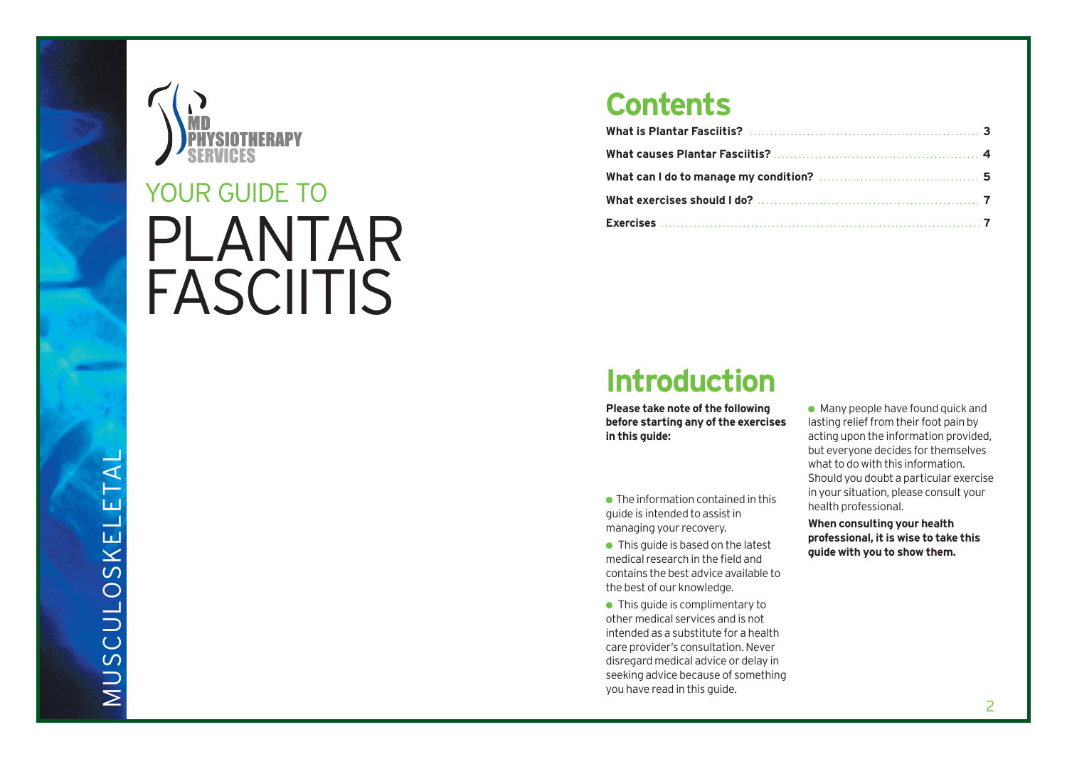

# YOUR GUIDE TO PLANTAR FASCIITIS

### **Contents**

### **Introduction**

**Please take note of the following before starting any of the exercises in this guide:**

● The information contained in this guide is intended to assist in managing your recovery.

 $\bullet$  This guide is based on the latest medical research in the field and contains the best advice available to the best of our knowledge.

● This quide is complimentary to other medical services and is not intended as a substitute for a health care provider's consultation. Never disregard medical advice or delay in seeking advice because of something you have read in this guide.

 $\bullet$  Many people have found quick and lasting relief from their foot pain by acting upon the information provided, but everyone decides for themselves what to do with this information. Should you doub t a particular exercise in your situation, pleas e consult your health professional.

**When consulting your health pr o f essional, it is wise to take this guide with you to show them.**

MUSCULOSKELETAL MUSCULOSKELE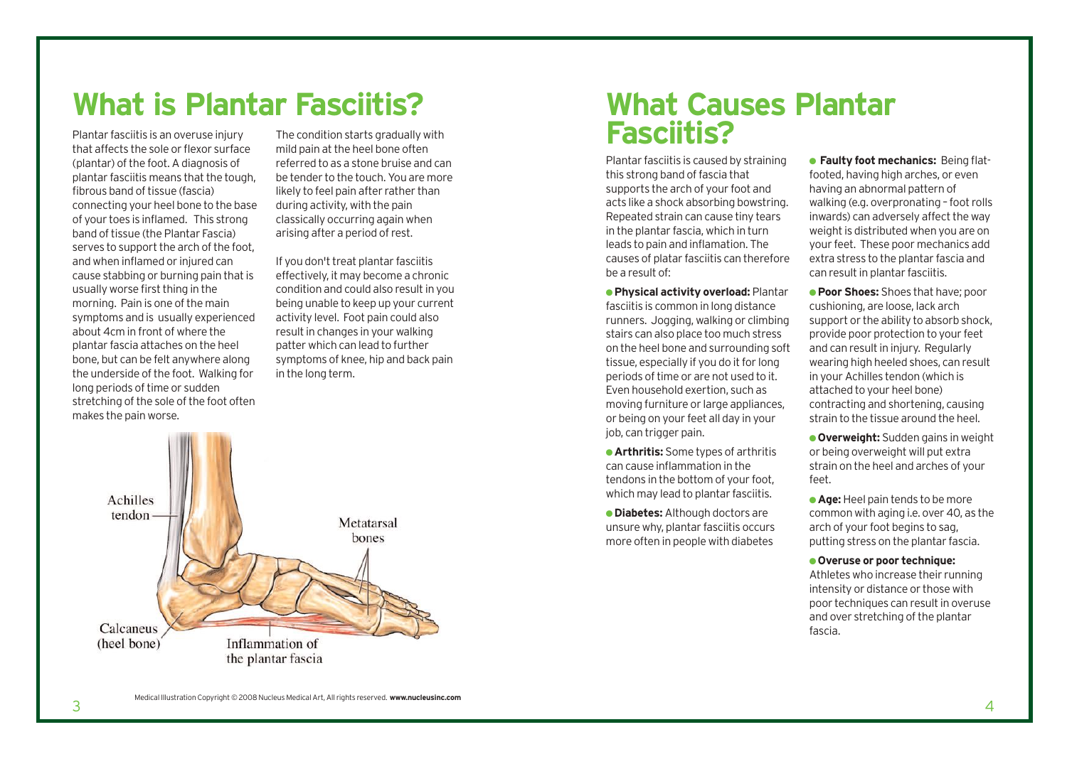### **What is Plantar Fasciitis?**

Plantar fasciitis is an overuse injury that affects the sole or flexor surface (plantar) of the foot. A diagnosis of plantar fasciitis means that the tough, fibrous band of tissue (fascia) connecting your heel bone to the base of your toes is inflamed. This strong band of tissue (the Plantar Fascia) serves to support the arch of the foot, and when inflamed or injured can cause stabbing or burning pain that is usually worse first thing in the morning. Pain is one of the main symptoms and is usually experienced about 4cm in front of where the plantar fascia attaches on the heel bone, but can be felt anywhere along the underside of the foot. Walking for long periods of time or sudden stretching of the sole of the foot often makes the pain worse.

The condition starts gradually with mild pain at the heel bone often referred to as a stone bruise and can be tender to the touch. You are more likely to feel pain after rather than during activity, with the pain classically occurring again when arising after a period of rest.

If you don't treat plantar fasciitis effectively, it may become a chronic condition and could also result in you being unable to keep up your current activity level. Foot pain could also result in changes in your walking patter which can lead to further symptoms of knee, hip and back pain in the long term.



### **What Causes Plantar Fasciitis?**

Plantar fasciitis is caused by straining this strong band of fascia that supports the arch of your foot and acts like a shock absorbing bowstring. Repeated strain can cause tiny tears in the plantar fascia, which in turn leads to pain and inflamation. The causes of platar fasciitis can therefore be a result of:

● **Physical activity overload:** Plantar fasciitis is common in long distance runners. Jogging, walking or climbing stairs can also place too much stress on the heel bone and surrounding soft tissue, especially if you do it for long periods of time or are not used to it. Even household exertion, such as moving furniture or large appliances, or being on your feet all day in your job, can trigger pain.

● **Arthritis:** Some types of arthritis can cause inflammation in the tendons in the bottom of your foot, which may lead to plantar fasciitis.

● **Diabetes:** Although doctors are unsure why, plantar fasciitis occurs more often in people with diabetes

● **Faulty foot mechanics:** Being flatfooted, having high arches, or even having an abnormal pattern of walking (e.g. overpronating – foot rolls inwards) can adversely affect the way weight is distributed when you are on your feet. These poor mechanics add extra stress to the plantar fascia and can result in plantar fasciitis.

● **Poor Shoes:** Shoes that have; poor cushioning, are loose, lack arch support or the ability to absorb shock, provide poor protection to your feet and can result in injury. Regularly wearing high heeled shoes, can result in your Achilles tendon (which is attached to your heel bone) contracting and shortening, causing strain to the tissue around the heel.

● **Overweight:** Sudden gains in weight or being overweight will put extra strain on the heel and arches of your feet.

**Age:** Heel pain tends to be more common with aging i.e. over 40, as the arch of your foot begins to sag, putting stress on the plantar fascia.

#### ● **Overuse or poor technique:**

Athletes who increase their running intensity or distance or those with poor techniques can result in overuse and over stretching of the plantar fascia.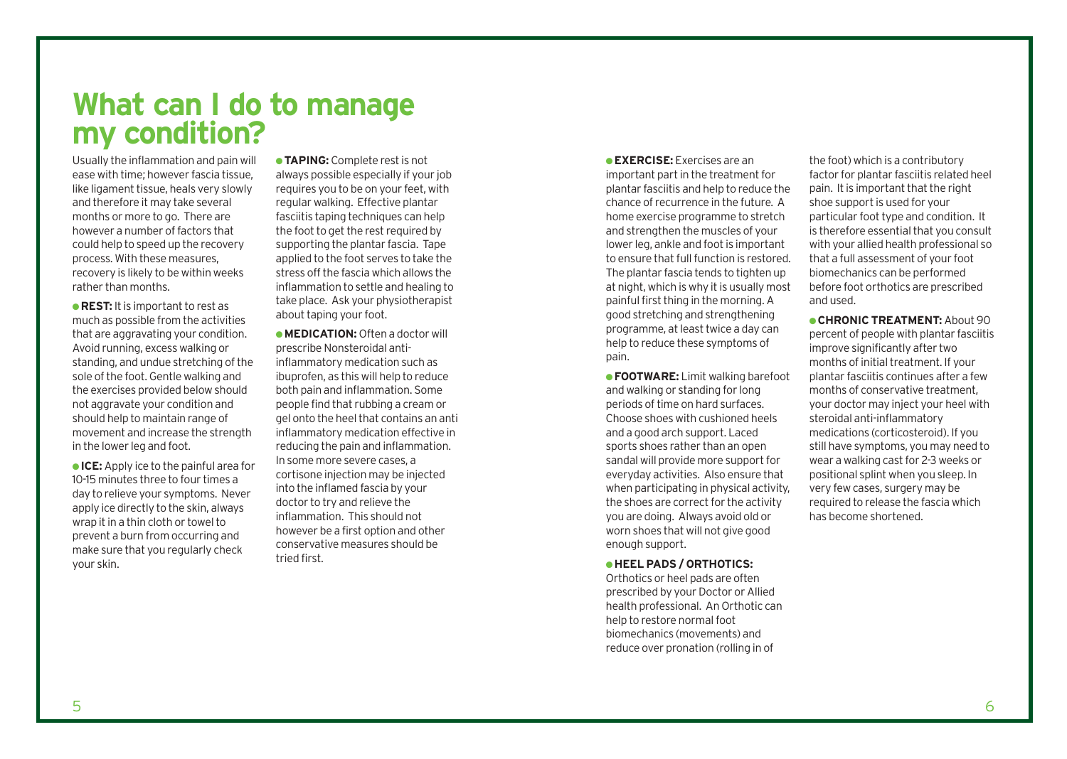**What can I do to manage my condition?** 

Usually the inflammation and pain will ease with time; however fascia tissue, like ligament tissue, heals very slowly and therefore it may take several months or more to go. There are however a number of factors that could help to speed up the recovery process. With these measures, recovery is likely to be within weeks rather than months.

**• REST:** It is important to rest as much as possible from the activities that are aggravating your condition. Avoid running, excess walking or standing, and undue stretching of the sole of the foot. Gentle walking and the exercises provided below should not aggravate your condition and should help to maintain range of movement and increase the strength in the lower leg and foot.

● **ICE:** Apply ice to the painful area for 10-15 minutes three to four times a day to relieve your symptoms. Never apply ice directly to the skin, always wrap it in a thin cloth or towel to prevent a burn from occurring and make sure that you regularly check your skin.

●**TAPING:** Complete rest is not always possible especially if your job requires you to be on your feet, with regular walking. Effective plantar fasciitis taping techniques can help the foot to get the rest required by supporting the plantar fascia. Tape applied to the foot serves to take the stress off the fascia which allows the inflammation to settle and healing to take place. Ask your physiotherapist about taping your foot.

**• MEDICATION:** Often a doctor will prescribe Nonsteroidal antiinflammatory medication such as ibuprofen, as this will help to reduce both pain and inflammation. Some people find that rubbing a cream or gel onto the heel that contains an anti inflammatory medication effective in reducing the pain and inflammation. In some more severe cases, a cortisone injection may be injected into the inflamed fascia by your doctor to try and relieve the inflammation. This should not however be a first option and other conservative measures should be tried first.

#### ●**EXERCISE:** Exercises are an

important part in the treatment for plantar fasciitis and help to reduce the chance of recurrence in the future. A home exercise programme to stretch and strengthen the muscles of your lower leg, ankle and foot is important to ensure that full function is restored. The plantar fascia tends to tighten up at night, which is why it is usually most painful first thing in the morning. A good stretching and strengthening programme, at least twice a day can help to reduce these symptoms of pain.

● **FOOTWARE:** Limit walking barefoot and walking or standing for long periods of time on hard surfaces. Choose shoes with cushioned heels and a good arch support. Laced sports shoes rather than an open sandal will provide more support for everyday activities. Also ensure that when participating in physical activity, the shoes are correct for the activity you are doing. Always avoid old or worn shoes that will not give good enough support.

#### ● **HEEL PADS / ORTHOTICS:**

Orthotics or heel pads are often prescribed by your Doctor or Allied health professional. An Orthotic can help to restore normal foot biomechanics (movements) and reduce over pronation (rolling in of

the foot) which is a contributory factor for plantar fasciitis related heel pain. It is important that the right shoe support is used for your particular foot type and condition. It is therefore essential that you consult with your allied health professional so that a full assessment of your foot biomechanics can be performed before foot orthotics are prescribed and used.

● **CHRONIC TREATMENT:** About 90 percent of people with plantar fasciitis improve significantly after two months of initial treatment. If your plantar fasciitis continues after a few months of conservative treatment, your doctor may inject your heel with steroidal anti-inflammatory medications (corticosteroid). If you still have symptoms, you may need to wear a walking cast for 2-3 weeks or positional splint when you sleep. In very few cases, surgery may be required to release the fascia which has become shortened.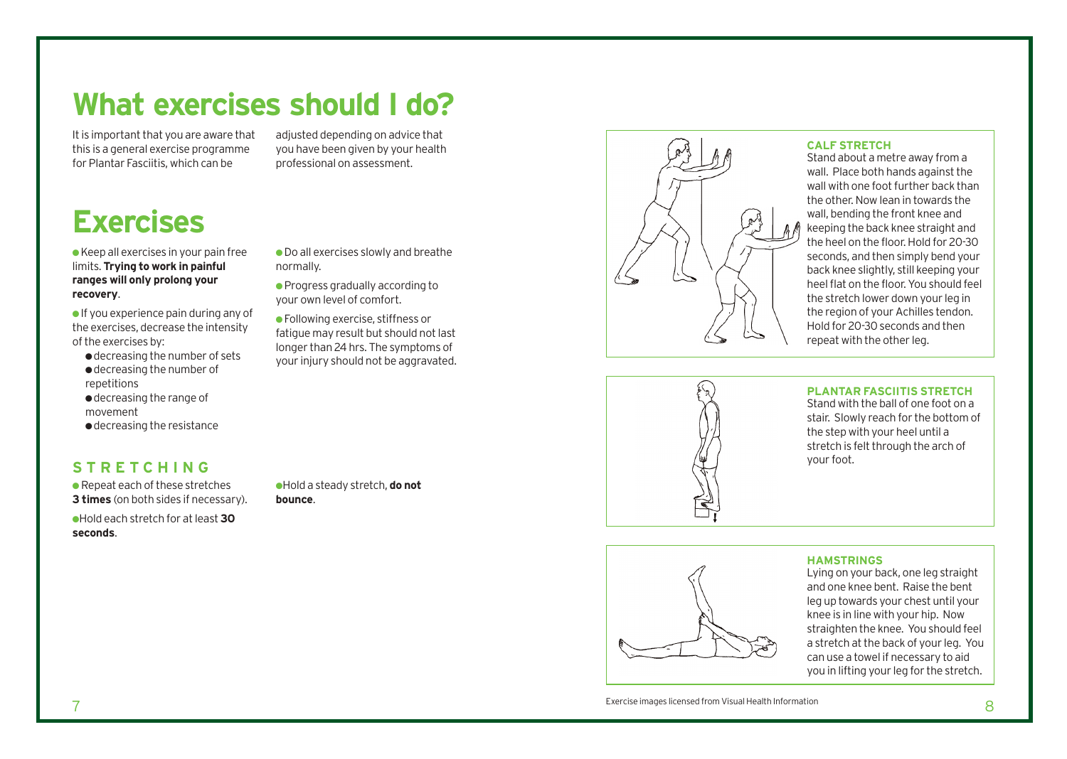### **What exercises should I do?**

It is important that you are aware that this is a general exercise programme for Plantar Fasciitis, which can be

**Exercises**

 $\bullet$  Keep all exercises in your pain free limits. **Trying to work in painful ranges will only prolong your recovery**.

● If you experience pain during any of the exercises, decrease the intensity of the exercises by:

● decreasing the number of sets ● decreasing the number of repetitions ● decreasing the range of movement

● decreasing the resistance

#### **STRETCHING**

 $\bullet$  Repeat each of these stretches **3 times** (on both sides if necessary).

●Hold each stretch for at least **30 seconds**.

adjusted depending on advice that you have been given by your health professional on assessment.

● Do all exercises slowly and breathe normally.

● Progress gradually according to your own level of comfort.

● Following exercise, stiffness or fatigue may result but should not last longer than 24 hrs. The symptoms of your injury should not be aggravated.



#### **CALF STRETCH**

Stand about a metre away from a wall. Place both hands against the wall with one foot further back than the other. Now lean in towards the wall, bending the front knee and keeping the back knee straight and the heel on the floor. Hold for 20-30 seconds, and then simply bend your back knee slightly, still keeping your heel flat on the floor. You should feel the stretch lower down your leg in the region of your Achilles tendon. Hold for 20-30 seconds and then repeat with the other leg.



#### **PLANTAR FASCIITIS STRETCH**

Stand with the ball of one foot on a stair. Slowly reach for the bottom of the step with your heel until a stretch is felt through the arch of your foot.

### ●Hold a steady stretch, **do not**

**bounce**.



#### **HAMSTRINGS**

Lying on your back, one leg straight and one knee bent. Raise the bent leg up towards your chest until your knee is in line with your hip. Now straighten the knee. You should feel a stretch at the back of your leg. You can use a towel if necessary to aid you in lifting your leg for the stretch.

Exercise images licensed from Visual Health Information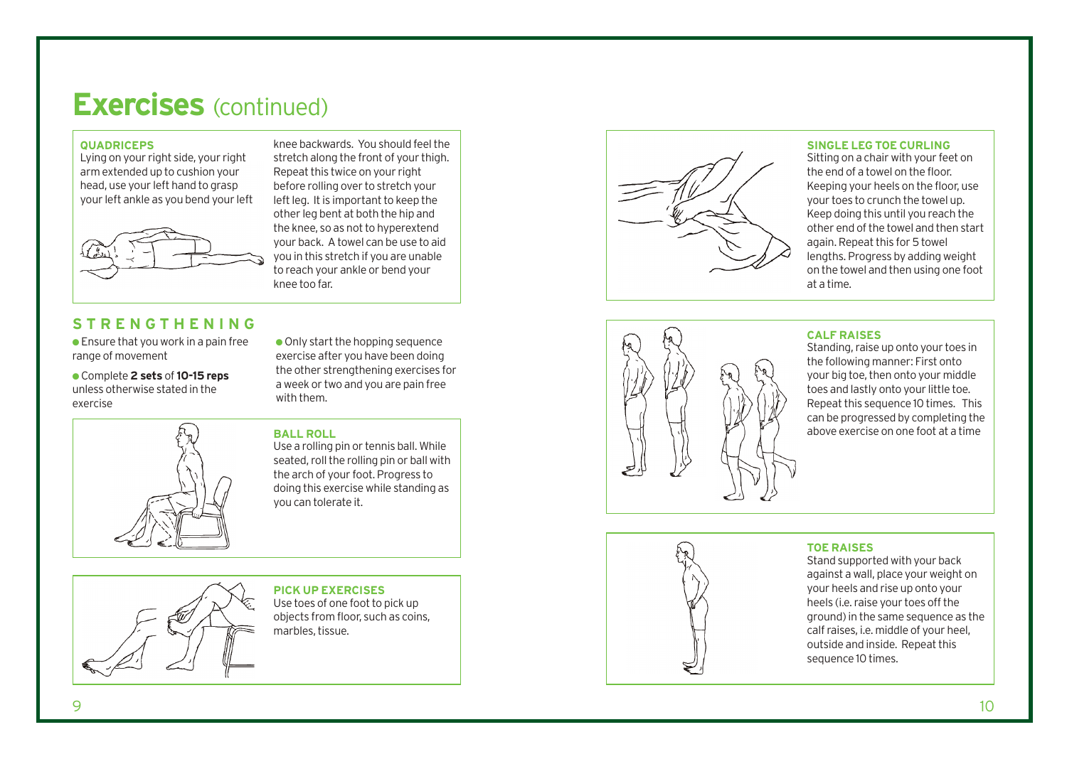### **Exercises** (continued)

#### **QUADRICEPS**

Lying on your right side, your right arm extended up to cushion your head, use your left hand to grasp your left ankle as you bend your left



#### **STRENGTHENING**

 $\bullet$  Ensure that you work in a pain free range of movement

● Complete **2 sets** of**10-15 reps** unless otherwise stated in the exercise



● Only start the hopping sequence exercise after you have been doing the other strengthening exercises for a week or two and you are pain free with them.

knee backwards. You should feel the stretch along the front of your thigh. Repeat this twice on your right before rolling over to stretch your left leg. It is important to keep the other leg bent at both the hip and the knee, so as not to hyperextend your back. A towel can be use to aid you in this stretch if you are unable to reach your ankle or bend your

#### **BALL ROLL**

knee too far.

Use a rolling pin or tennis ball. While seated, roll the rolling pin or ball with the arch of your foot. Progress to doing this exercise while standing as you can tolerate it.



**PICK UP EXERCISES** 

Use toes of one foot to pick up objects from floor, such as coins, marbles, tissue.



#### **SINGLE LEG TOE CURLING**

Sitting on a chair with your feet on the end of a towel on the floor. Keeping your heels on the floor, use your toes to crunch the towel up. Keep doing this until you reach the other end of the towel and then start again. Repeat this for 5 towel lengths. Progress by adding weight on the towel and then using one foot at a time.



#### **CALF RAISES**

Standing, raise up onto your toes in the following manner: First onto your big toe, then onto your middle toes and lastly onto your little toe. Repeat this sequence 10 times. This can be progressed by completing the abo ve exercise on one foot at a time

#### **TOE RAISE S**

Stand supported with your back against a wall, place your weight on your heels and rise up onto your heels (i.e. raise your toes off the ground) in the same sequence as the calf raises, i.e. middle of your heel, outside and inside. Repeat this sequence 10 times.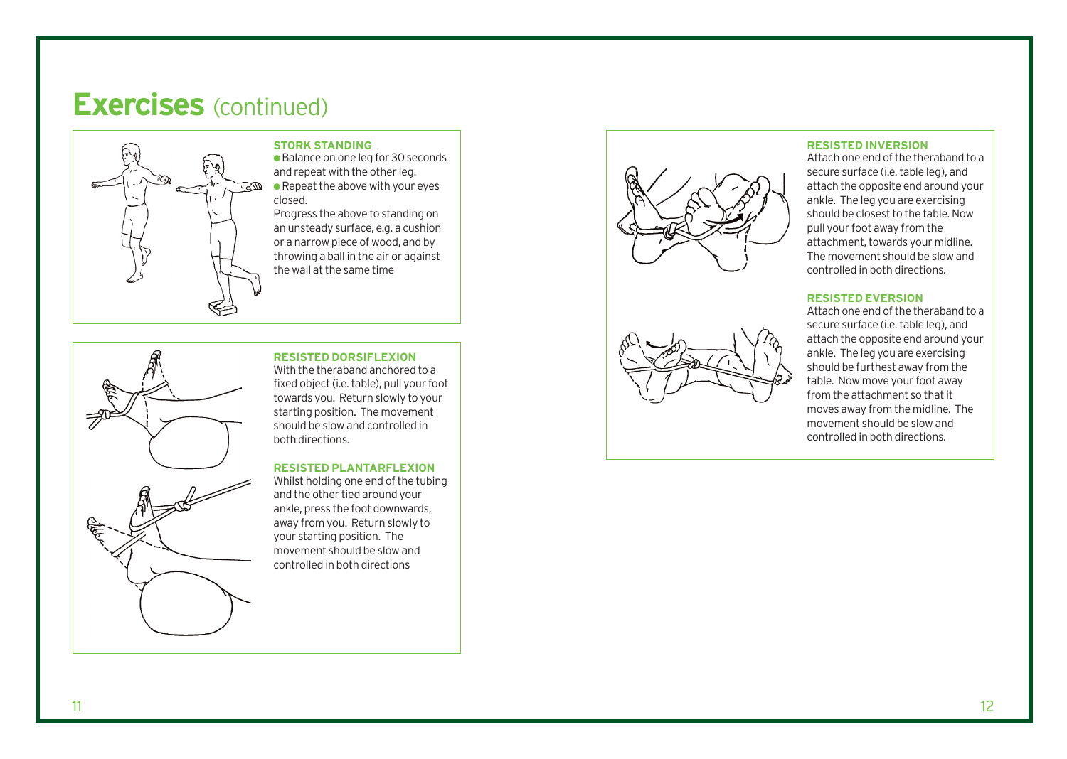### **Exercises** (continued)



#### **STORK STANDING**

● Balance on one leg for 30 seconds and repeat with the other leg.  $\bullet$  Repeat the above with your eyes closed.

Progress the above to standing on an unsteady surface, e.g. a cushion or a narrow piece of wood, and by throwing a ball in the air or against the wall at the same time



#### **RESISTED DORSIFLEXION**

With the theraband anchored to a fixed object (i.e. table), pull your foot towards you. Return slowly to your starting position. The movement should be slow and controlled in both directions.

#### **RESISTED PLANTARFLEXION**

Whilst holding one end of the tubing and the other tied around your ankle, press the foot downwards, away from you. Return slowly to your starting position. The movement should be slow and controlled in both directions





#### **RESISTED INVERSION**

Attach one end of the theraband to a secure surface (i.e. table leg), and attach the opposite end around your ankle. The leg you are exercising should be closest to the table. Now pull your foot away from the attachment, towards your midline. The movement should be slow and controlled in both directions.

#### **RESISTED EVERSION**

Attach one end of the theraband to a secure surface (i.e. table leg), and attach the opposite end around your ankle. The leg you are exercising should be furthest away from the table. Now move your foot away from the attachment so that it moves away from the midline. The movement should be slow and controlled in both directions.